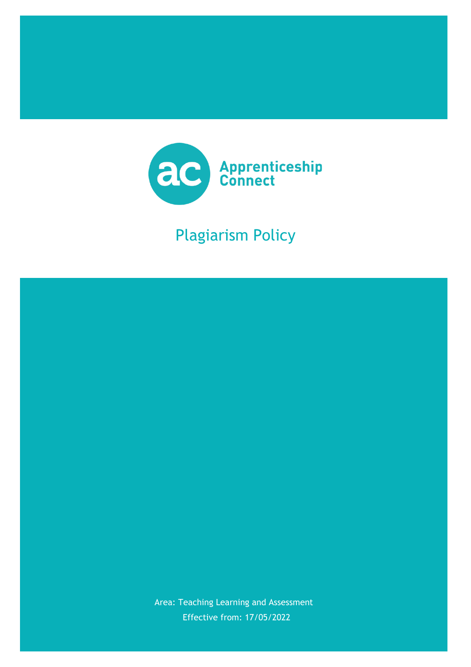

# Plagiarism Policy

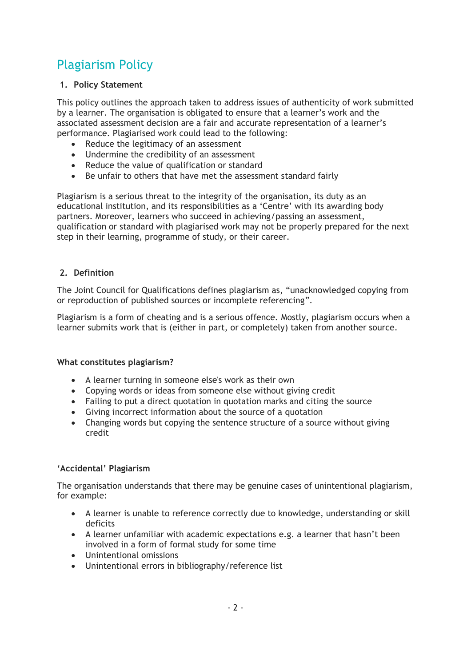# Plagiarism Policy

#### **1. Policy Statement**

This policy outlines the approach taken to address issues of authenticity of work submitted by a learner. The organisation is obligated to ensure that a learner's work and the associated assessment decision are a fair and accurate representation of a learner's performance. Plagiarised work could lead to the following:

- Reduce the legitimacy of an assessment
- Undermine the credibility of an assessment
- Reduce the value of qualification or standard
- Be unfair to others that have met the assessment standard fairly

Plagiarism is a serious threat to the integrity of the organisation, its duty as an educational institution, and its responsibilities as a 'Centre' with its awarding body partners. Moreover, learners who succeed in achieving/passing an assessment, qualification or standard with plagiarised work may not be properly prepared for the next step in their learning, programme of study, or their career.

#### **2. Definition**

The Joint Council for Qualifications defines plagiarism as, "unacknowledged copying from or reproduction of published sources or incomplete referencing".

Plagiarism is a form of cheating and is a serious offence. Mostly, plagiarism occurs when a learner submits work that is (either in part, or completely) taken from another source.

#### **What constitutes plagiarism?**

- A learner turning in someone else's work as their own
- Copying words or ideas from someone else without giving credit
- Failing to put a direct quotation in quotation marks and citing the source
- Giving incorrect information about the source of a quotation
- Changing words but copying the sentence structure of a source without giving credit

#### **'Accidental' Plagiarism**

The organisation understands that there may be genuine cases of unintentional plagiarism, for example:

- A learner is unable to reference correctly due to knowledge, understanding or skill deficits
- A learner unfamiliar with academic expectations e.g. a learner that hasn't been involved in a form of formal study for some time
- Unintentional omissions
- Unintentional errors in bibliography/reference list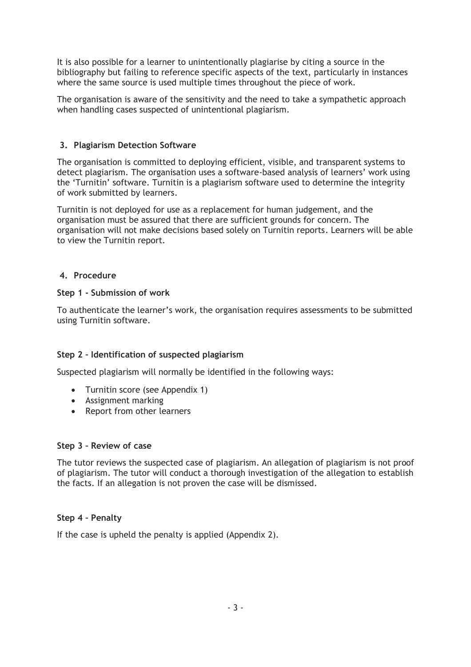It is also possible for a learner to unintentionally plagiarise by citing a source in the bibliography but failing to reference specific aspects of the text, particularly in instances where the same source is used multiple times throughout the piece of work.

The organisation is aware of the sensitivity and the need to take a sympathetic approach when handling cases suspected of unintentional plagiarism.

#### **3. Plagiarism Detection Software**

The organisation is committed to deploying efficient, visible, and transparent systems to detect plagiarism. The organisation uses a software-based analysis of learners' work using the 'Turnitin' software. Turnitin is a plagiarism software used to determine the integrity of work submitted by learners.

Turnitin is not deployed for use as a replacement for human judgement, and the organisation must be assured that there are sufficient grounds for concern. The organisation will not make decisions based solely on Turnitin reports. Learners will be able to view the Turnitin report.

#### **4. Procedure**

#### **Step 1 - Submission of work**

To authenticate the learner's work, the organisation requires assessments to be submitted using Turnitin software.

#### **Step 2 – Identification of suspected plagiarism**

Suspected plagiarism will normally be identified in the following ways:

- Turnitin score (see Appendix 1)
- Assignment marking
- Report from other learners

#### **Step 3 – Review of case**

The tutor reviews the suspected case of plagiarism. An allegation of plagiarism is not proof of plagiarism. The tutor will conduct a thorough investigation of the allegation to establish the facts. If an allegation is not proven the case will be dismissed.

#### **Step 4 – Penalty**

If the case is upheld the penalty is applied (Appendix 2).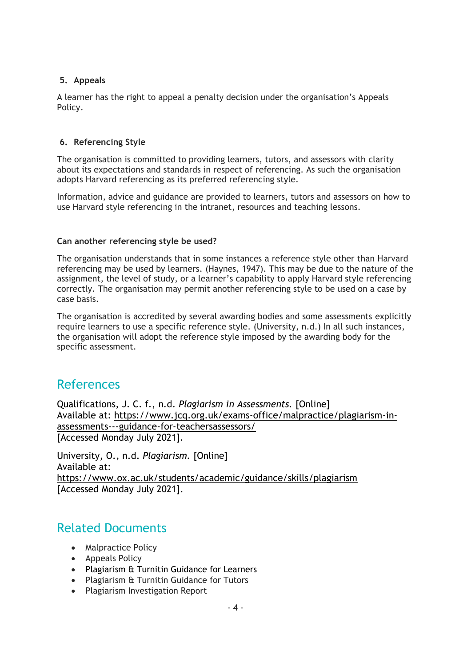#### **5. Appeals**

A learner has the right to appeal a penalty decision under the organisation's Appeals Policy.

#### **6. Referencing Style**

The organisation is committed to providing learners, tutors, and assessors with clarity about its expectations and standards in respect of referencing. As such the organisation adopts Harvard referencing as its preferred referencing style.

Information, advice and guidance are provided to learners, tutors and assessors on how to use Harvard style referencing in the intranet, resources and teaching lessons.

#### **Can another referencing style be used?**

The organisation understands that in some instances a reference style other than Harvard referencing may be used by learners. (Haynes, 1947). This may be due to the nature of the assignment, the level of study, or a learner's capability to apply Harvard style referencing correctly. The organisation may permit another referencing style to be used on a case by case basis.

The organisation is accredited by several awarding bodies and some assessments explicitly require learners to use a specific reference style. (University, n.d.) In all such instances, the organisation will adopt the reference style imposed by the awarding body for the specific assessment.

### References

Qualifications, J. C. f., n.d. *Plagiarism in Assessments.* [Online] Available at: https://www.jcq.org.uk/exams-office/malpractice/plagiarism-inassessments---guidance-for-teachersassessors/ [Accessed Monday July 2021].

University, O., n.d. *Plagiarism.* [Online] Available at: https://www.ox.ac.uk/students/academic/guidance/skills/plagiarism [Accessed Monday July 2021].

### Related Documents

- Malpractice Policy
- Appeals Policy
- Plagiarism & Turnitin Guidance for Learners
- Plagiarism & Turnitin Guidance for Tutors
- Plagiarism Investigation Report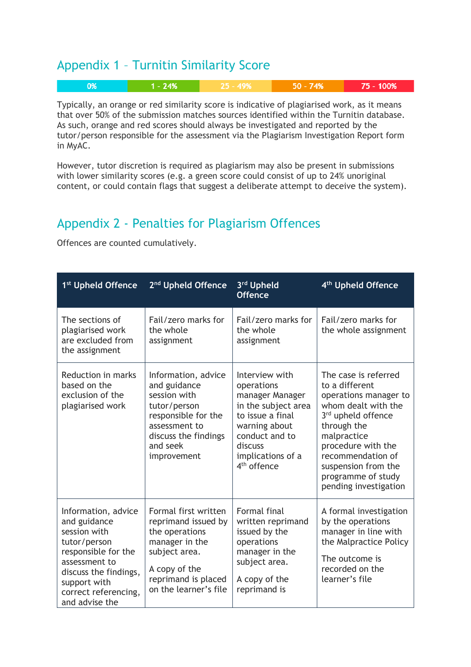### Appendix 1 – Turnitin Similarity Score

| $\blacksquare$ 0% | $1 - 24%$ | 725 - 49% | 50 - 74% | 75 - 100% |
|-------------------|-----------|-----------|----------|-----------|
|                   |           |           |          |           |

Typically, an orange or red similarity score is indicative of plagiarised work, as it means that over 50% of the submission matches sources identified within the Turnitin database. As such, orange and red scores should always be investigated and reported by the tutor/person responsible for the assessment via the Plagiarism Investigation Report form in MyAC.

However, tutor discretion is required as plagiarism may also be present in submissions with lower similarity scores (e.g. a green score could consist of up to 24% unoriginal content, or could contain flags that suggest a deliberate attempt to deceive the system).

## Appendix 2 - Penalties for Plagiarism Offences

Offences are counted cumulatively.

| 1 <sup>st</sup> Upheld Offence                                                                                                                                                                 | 2 <sup>nd</sup> Upheld Offence                                                                                                                                    | 3 <sup>rd</sup> Upheld<br><b>Offence</b>                                                                                                                                                 | 4 <sup>th</sup> Upheld Offence                                                                                                                                                                                                                              |
|------------------------------------------------------------------------------------------------------------------------------------------------------------------------------------------------|-------------------------------------------------------------------------------------------------------------------------------------------------------------------|------------------------------------------------------------------------------------------------------------------------------------------------------------------------------------------|-------------------------------------------------------------------------------------------------------------------------------------------------------------------------------------------------------------------------------------------------------------|
| The sections of<br>plagiarised work<br>are excluded from<br>the assignment                                                                                                                     | Fail/zero marks for<br>the whole<br>assignment                                                                                                                    | Fail/zero marks for<br>the whole<br>assignment                                                                                                                                           | Fail/zero marks for<br>the whole assignment                                                                                                                                                                                                                 |
| <b>Reduction in marks</b><br>based on the<br>exclusion of the<br>plagiarised work                                                                                                              | Information, advice<br>and guidance<br>session with<br>tutor/person<br>responsible for the<br>assessment to<br>discuss the findings<br>and seek<br>improvement    | Interview with<br>operations<br>manager Manager<br>in the subject area<br>to issue a final<br>warning about<br>conduct and to<br>discuss<br>implications of a<br>4 <sup>th</sup> offence | The case is referred<br>to a different<br>operations manager to<br>whom dealt with the<br>3rd upheld offence<br>through the<br>malpractice<br>procedure with the<br>recommendation of<br>suspension from the<br>programme of study<br>pending investigation |
| Information, advice<br>and guidance<br>session with<br>tutor/person<br>responsible for the<br>assessment to<br>discuss the findings,<br>support with<br>correct referencing,<br>and advise the | Formal first written<br>reprimand issued by<br>the operations<br>manager in the<br>subject area.<br>A copy of the<br>reprimand is placed<br>on the learner's file | <b>Formal final</b><br>written reprimand<br>issued by the<br>operations<br>manager in the<br>subject area.<br>A copy of the<br>reprimand is                                              | A formal investigation<br>by the operations<br>manager in line with<br>the Malpractice Policy<br>The outcome is<br>recorded on the<br>learner's file                                                                                                        |